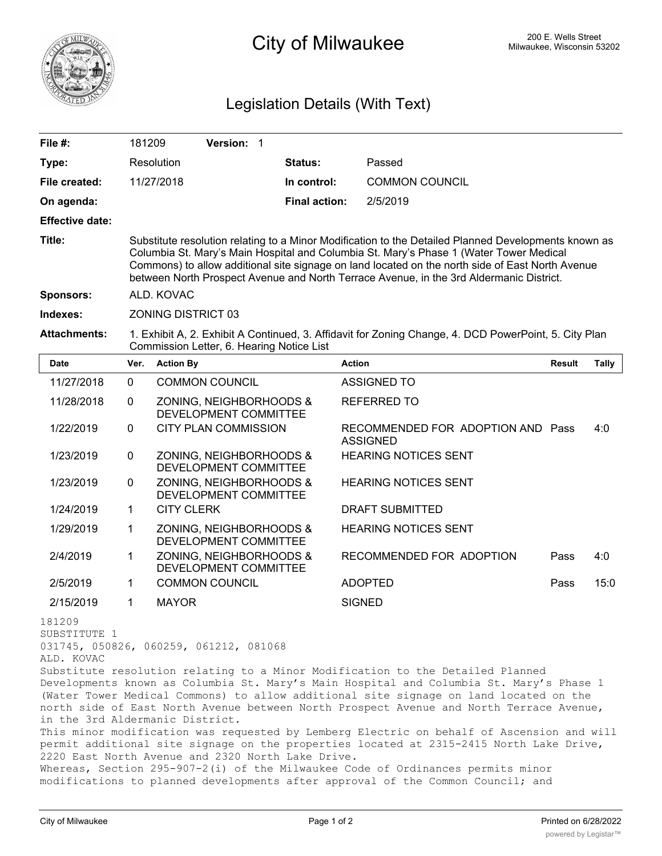

## 200 E. Wells Street 200 E. Wells Street 200 E. Wells Street 200 E. Wells Street

## Legislation Details (With Text)

| File #:                              | 181209      | Version: 1                                                                                                                                                                                                                                                                                                                                                                                    |                      |                                                                                                                                                                                                                                                                    |               |              |  |
|--------------------------------------|-------------|-----------------------------------------------------------------------------------------------------------------------------------------------------------------------------------------------------------------------------------------------------------------------------------------------------------------------------------------------------------------------------------------------|----------------------|--------------------------------------------------------------------------------------------------------------------------------------------------------------------------------------------------------------------------------------------------------------------|---------------|--------------|--|
| Type:                                |             | Resolution                                                                                                                                                                                                                                                                                                                                                                                    | Status:              | Passed                                                                                                                                                                                                                                                             |               |              |  |
| File created:                        |             | 11/27/2018                                                                                                                                                                                                                                                                                                                                                                                    | In control:          | <b>COMMON COUNCIL</b>                                                                                                                                                                                                                                              |               |              |  |
| On agenda:                           |             |                                                                                                                                                                                                                                                                                                                                                                                               | <b>Final action:</b> | 2/5/2019                                                                                                                                                                                                                                                           |               |              |  |
| <b>Effective date:</b>               |             |                                                                                                                                                                                                                                                                                                                                                                                               |                      |                                                                                                                                                                                                                                                                    |               |              |  |
| Title:                               |             | Substitute resolution relating to a Minor Modification to the Detailed Planned Developments known as<br>Columbia St. Mary's Main Hospital and Columbia St. Mary's Phase 1 (Water Tower Medical<br>Commons) to allow additional site signage on land located on the north side of East North Avenue<br>between North Prospect Avenue and North Terrace Avenue, in the 3rd Aldermanic District. |                      |                                                                                                                                                                                                                                                                    |               |              |  |
| <b>Sponsors:</b>                     |             | ALD. KOVAC                                                                                                                                                                                                                                                                                                                                                                                    |                      |                                                                                                                                                                                                                                                                    |               |              |  |
| Indexes:                             |             | <b>ZONING DISTRICT 03</b>                                                                                                                                                                                                                                                                                                                                                                     |                      |                                                                                                                                                                                                                                                                    |               |              |  |
| <b>Attachments:</b>                  |             | 1. Exhibit A, 2. Exhibit A Continued, 3. Affidavit for Zoning Change, 4. DCD PowerPoint, 5. City Plan<br>Commission Letter, 6. Hearing Notice List                                                                                                                                                                                                                                            |                      |                                                                                                                                                                                                                                                                    |               |              |  |
| <b>Date</b>                          | Ver.        | <b>Action By</b>                                                                                                                                                                                                                                                                                                                                                                              |                      | <b>Action</b>                                                                                                                                                                                                                                                      | <b>Result</b> | <b>Tally</b> |  |
| 11/27/2018                           | $\Omega$    | <b>COMMON COUNCIL</b>                                                                                                                                                                                                                                                                                                                                                                         |                      | <b>ASSIGNED TO</b>                                                                                                                                                                                                                                                 |               |              |  |
| 11/28/2018                           | 0           | ZONING, NEIGHBORHOODS &<br>DEVELOPMENT COMMITTEE                                                                                                                                                                                                                                                                                                                                              |                      | <b>REFERRED TO</b>                                                                                                                                                                                                                                                 |               |              |  |
| 1/22/2019                            | 0           | <b>CITY PLAN COMMISSION</b>                                                                                                                                                                                                                                                                                                                                                                   |                      | RECOMMENDED FOR ADOPTION AND Pass<br><b>ASSIGNED</b>                                                                                                                                                                                                               |               | 4:0          |  |
| 1/23/2019                            | $\pmb{0}$   | ZONING, NEIGHBORHOODS &<br>DEVELOPMENT COMMITTEE                                                                                                                                                                                                                                                                                                                                              |                      | <b>HEARING NOTICES SENT</b>                                                                                                                                                                                                                                        |               |              |  |
| 1/23/2019                            | 0           | ZONING, NEIGHBORHOODS &<br>DEVELOPMENT COMMITTEE                                                                                                                                                                                                                                                                                                                                              |                      | <b>HEARING NOTICES SENT</b>                                                                                                                                                                                                                                        |               |              |  |
| 1/24/2019                            | $\mathbf 1$ | <b>CITY CLERK</b>                                                                                                                                                                                                                                                                                                                                                                             |                      | DRAFT SUBMITTED                                                                                                                                                                                                                                                    |               |              |  |
| 1/29/2019                            | 1           | ZONING, NEIGHBORHOODS &<br>DEVELOPMENT COMMITTEE                                                                                                                                                                                                                                                                                                                                              |                      | <b>HEARING NOTICES SENT</b>                                                                                                                                                                                                                                        |               |              |  |
| 2/4/2019                             | 1           | ZONING, NEIGHBORHOODS &<br>DEVELOPMENT COMMITTEE                                                                                                                                                                                                                                                                                                                                              |                      | RECOMMENDED FOR ADOPTION                                                                                                                                                                                                                                           | Pass          | 4:0          |  |
| 2/5/2019                             | 1           | <b>COMMON COUNCIL</b>                                                                                                                                                                                                                                                                                                                                                                         |                      | <b>ADOPTED</b>                                                                                                                                                                                                                                                     | Pass          | 15:0         |  |
| 2/15/2019                            | 1           | <b>MAYOR</b>                                                                                                                                                                                                                                                                                                                                                                                  |                      | <b>SIGNED</b>                                                                                                                                                                                                                                                      |               |              |  |
| 181209<br>SUBSTITUTE 1<br>ALD. KOVAC |             | 031745, 050826, 060259, 061212, 081068                                                                                                                                                                                                                                                                                                                                                        |                      | Substitute resolution relating to a Minor Modification to the Detailed Planned<br>Developments known as Columbia St. Mary's Main Hospital and Columbia St. Mary's Phase 1<br>(Water Tower Medical Commons) to allow additional site signage on land located on the |               |              |  |
|                                      |             |                                                                                                                                                                                                                                                                                                                                                                                               |                      | north side of East North Avenue between North Prospect Avenue and North Terrace Avenue,                                                                                                                                                                            |               |              |  |

in the 3rd Aldermanic District.

This minor modification was requested by Lemberg Electric on behalf of Ascension and will permit additional site signage on the properties located at 2315-2415 North Lake Drive, 2220 East North Avenue and 2320 North Lake Drive.

Whereas, Section 295-907-2(i) of the Milwaukee Code of Ordinances permits minor modifications to planned developments after approval of the Common Council; and